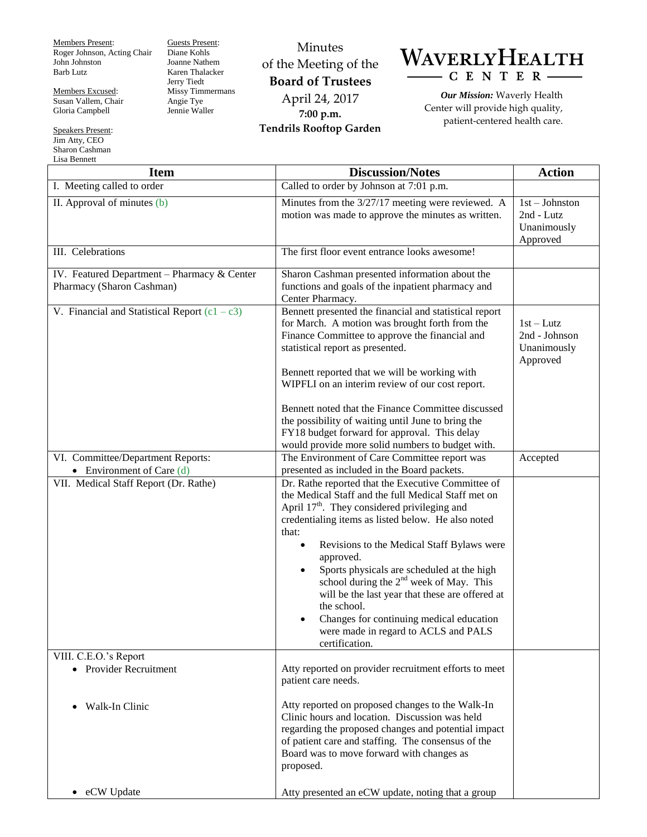Members Present: Roger Johnson, Acting Chair John Johnston Barb Lutz

Members Excused: Susan Vallem, Chair Gloria Campbell

Speakers Present: Jim Atty, CEO Sharon Cashman Lisa Bennett

Guests Present: Diane Kohls Joanne Nathem Karen Thalacker Jerry Tiedt Missy Timmermans Angie Tye Jennie Waller

Minutes of the Meeting of the **Board of Trustees** April 24, 2017 **7:00 p.m. Tendrils Rooftop Garden**

WAVERLYHEALTH  $-C E N T E R -$ 

> *Our Mission:* Waverly Health Center will provide high quality, patient-centered health care.

| <b>Item</b>                                                              | <b>Discussion/Notes</b>                                                                                                                                                                                                                                                                                                                                                                                                                                                                                                                                                                                | <b>Action</b>                                             |
|--------------------------------------------------------------------------|--------------------------------------------------------------------------------------------------------------------------------------------------------------------------------------------------------------------------------------------------------------------------------------------------------------------------------------------------------------------------------------------------------------------------------------------------------------------------------------------------------------------------------------------------------------------------------------------------------|-----------------------------------------------------------|
| I. Meeting called to order                                               | Called to order by Johnson at 7:01 p.m.                                                                                                                                                                                                                                                                                                                                                                                                                                                                                                                                                                |                                                           |
| II. Approval of minutes (b)                                              | Minutes from the 3/27/17 meeting were reviewed. A<br>motion was made to approve the minutes as written.                                                                                                                                                                                                                                                                                                                                                                                                                                                                                                | $1st - Johnston$<br>2nd - Lutz<br>Unanimously<br>Approved |
| III. Celebrations                                                        | The first floor event entrance looks awesome!                                                                                                                                                                                                                                                                                                                                                                                                                                                                                                                                                          |                                                           |
| IV. Featured Department - Pharmacy & Center<br>Pharmacy (Sharon Cashman) | Sharon Cashman presented information about the<br>functions and goals of the inpatient pharmacy and<br>Center Pharmacy.                                                                                                                                                                                                                                                                                                                                                                                                                                                                                |                                                           |
| V. Financial and Statistical Report $(c1 - c3)$                          | Bennett presented the financial and statistical report<br>for March. A motion was brought forth from the<br>Finance Committee to approve the financial and<br>statistical report as presented.<br>Bennett reported that we will be working with                                                                                                                                                                                                                                                                                                                                                        | $1st-Lutz$<br>2nd - Johnson<br>Unanimously<br>Approved    |
|                                                                          | WIPFLI on an interim review of our cost report.                                                                                                                                                                                                                                                                                                                                                                                                                                                                                                                                                        |                                                           |
|                                                                          | Bennett noted that the Finance Committee discussed<br>the possibility of waiting until June to bring the<br>FY18 budget forward for approval. This delay<br>would provide more solid numbers to budget with.                                                                                                                                                                                                                                                                                                                                                                                           |                                                           |
| VI. Committee/Department Reports:<br>• Environment of Care $(d)$         | The Environment of Care Committee report was<br>presented as included in the Board packets.                                                                                                                                                                                                                                                                                                                                                                                                                                                                                                            | Accepted                                                  |
| VII. Medical Staff Report (Dr. Rathe)<br>VIII. C.E.O.'s Report           | Dr. Rathe reported that the Executive Committee of<br>the Medical Staff and the full Medical Staff met on<br>April 17 <sup>th</sup> . They considered privileging and<br>credentialing items as listed below. He also noted<br>that:<br>Revisions to the Medical Staff Bylaws were<br>$\bullet$<br>approved.<br>Sports physicals are scheduled at the high<br>$\bullet$<br>school during the 2 <sup>nd</sup> week of May. This<br>will be the last year that these are offered at<br>the school.<br>Changes for continuing medical education<br>were made in regard to ACLS and PALS<br>certification. |                                                           |
| • Provider Recruitment                                                   | Atty reported on provider recruitment efforts to meet<br>patient care needs.                                                                                                                                                                                                                                                                                                                                                                                                                                                                                                                           |                                                           |
| Walk-In Clinic<br>$\bullet$                                              | Atty reported on proposed changes to the Walk-In<br>Clinic hours and location. Discussion was held<br>regarding the proposed changes and potential impact<br>of patient care and staffing. The consensus of the<br>Board was to move forward with changes as<br>proposed.                                                                                                                                                                                                                                                                                                                              |                                                           |
| eCW Update<br>$\bullet$                                                  | Atty presented an eCW update, noting that a group                                                                                                                                                                                                                                                                                                                                                                                                                                                                                                                                                      |                                                           |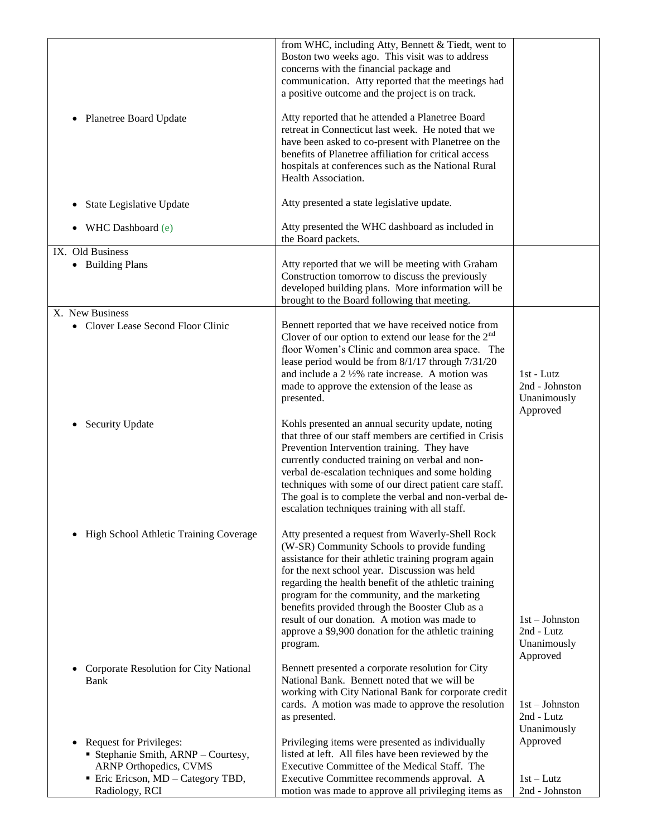|                                                                                                                                                                           | from WHC, including Atty, Bennett & Tiedt, went to<br>Boston two weeks ago. This visit was to address<br>concerns with the financial package and<br>communication. Atty reported that the meetings had<br>a positive outcome and the project is on track.                                                                                                                                                                                                                                |                                                           |
|---------------------------------------------------------------------------------------------------------------------------------------------------------------------------|------------------------------------------------------------------------------------------------------------------------------------------------------------------------------------------------------------------------------------------------------------------------------------------------------------------------------------------------------------------------------------------------------------------------------------------------------------------------------------------|-----------------------------------------------------------|
| Planetree Board Update<br>$\bullet$                                                                                                                                       | Atty reported that he attended a Planetree Board<br>retreat in Connecticut last week. He noted that we<br>have been asked to co-present with Planetree on the<br>benefits of Planetree affiliation for critical access<br>hospitals at conferences such as the National Rural<br>Health Association.                                                                                                                                                                                     |                                                           |
| State Legislative Update<br>$\bullet$                                                                                                                                     | Atty presented a state legislative update.                                                                                                                                                                                                                                                                                                                                                                                                                                               |                                                           |
| WHC Dashboard (e)                                                                                                                                                         | Atty presented the WHC dashboard as included in<br>the Board packets.                                                                                                                                                                                                                                                                                                                                                                                                                    |                                                           |
| IX. Old Business<br>• Building Plans                                                                                                                                      | Atty reported that we will be meeting with Graham<br>Construction tomorrow to discuss the previously<br>developed building plans. More information will be<br>brought to the Board following that meeting.                                                                                                                                                                                                                                                                               |                                                           |
| X. New Business<br>• Clover Lease Second Floor Clinic                                                                                                                     | Bennett reported that we have received notice from<br>Clover of our option to extend our lease for the $2nd$<br>floor Women's Clinic and common area space. The<br>lease period would be from 8/1/17 through 7/31/20<br>and include a $2\frac{1}{2}\%$ rate increase. A motion was<br>made to approve the extension of the lease as<br>presented.                                                                                                                                        | $1st$ - Lutz<br>2nd - Johnston<br>Unanimously<br>Approved |
| <b>Security Update</b>                                                                                                                                                    | Kohls presented an annual security update, noting<br>that three of our staff members are certified in Crisis<br>Prevention Intervention training. They have<br>currently conducted training on verbal and non-<br>verbal de-escalation techniques and some holding<br>techniques with some of our direct patient care staff.<br>The goal is to complete the verbal and non-verbal de-<br>escalation techniques training with all staff.                                                  |                                                           |
| High School Athletic Training Coverage<br>$\bullet$                                                                                                                       | Atty presented a request from Waverly-Shell Rock<br>(W-SR) Community Schools to provide funding<br>assistance for their athletic training program again<br>for the next school year. Discussion was held<br>regarding the health benefit of the athletic training<br>program for the community, and the marketing<br>benefits provided through the Booster Club as a<br>result of our donation. A motion was made to<br>approve a \$9,900 donation for the athletic training<br>program. | $1st - Johnston$<br>2nd - Lutz<br>Unanimously<br>Approved |
| Corporate Resolution for City National<br>$\bullet$<br>Bank                                                                                                               | Bennett presented a corporate resolution for City<br>National Bank. Bennett noted that we will be<br>working with City National Bank for corporate credit<br>cards. A motion was made to approve the resolution<br>as presented.                                                                                                                                                                                                                                                         | $1st - Johnston$<br>2nd - Lutz<br>Unanimously             |
| <b>Request for Privileges:</b><br>$\bullet$<br>Stephanie Smith, ARNP - Courtesy,<br><b>ARNP Orthopedics, CVMS</b><br>• Eric Ericson, MD - Category TBD,<br>Radiology, RCI | Privileging items were presented as individually<br>listed at left. All files have been reviewed by the<br>Executive Committee of the Medical Staff. The<br>Executive Committee recommends approval. A<br>motion was made to approve all privileging items as                                                                                                                                                                                                                            | Approved<br>$1st-Lutz$<br>2nd - Johnston                  |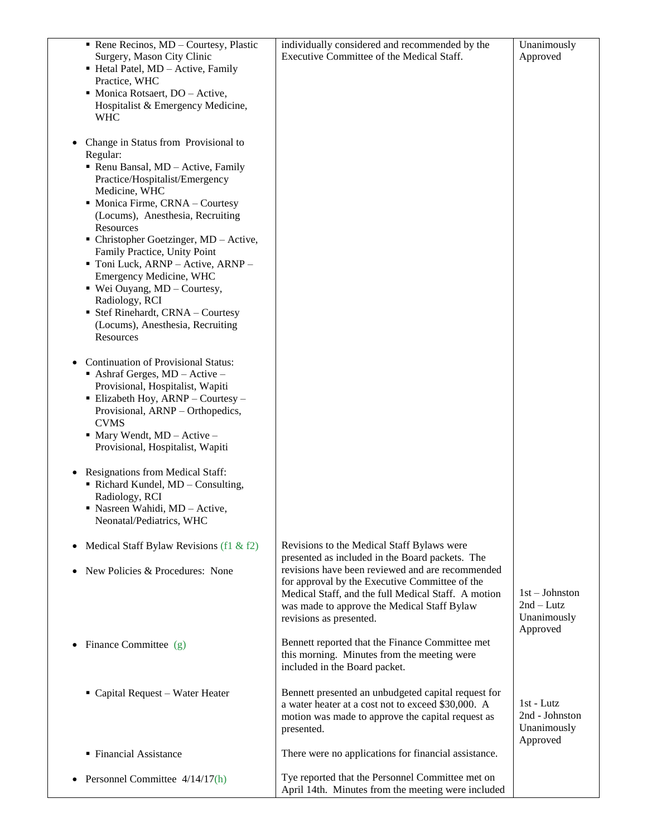| Rene Recinos, $MD$ – Courtesy, Plastic<br>Surgery, Mason City Clinic<br>Hetal Patel, MD - Active, Family<br>Practice, WHC<br>• Monica Rotsaert, DO - Active,<br>Hospitalist & Emergency Medicine,<br><b>WHC</b>                                                                                                                                                                                                                                                                                                                   | individually considered and recommended by the<br>Executive Committee of the Medical Staff.                                                                                                                                                                                                                                          | Unanimously<br>Approved                                   |
|-----------------------------------------------------------------------------------------------------------------------------------------------------------------------------------------------------------------------------------------------------------------------------------------------------------------------------------------------------------------------------------------------------------------------------------------------------------------------------------------------------------------------------------|--------------------------------------------------------------------------------------------------------------------------------------------------------------------------------------------------------------------------------------------------------------------------------------------------------------------------------------|-----------------------------------------------------------|
| Change in Status from Provisional to<br>Regular:<br>Renu Bansal, MD - Active, Family<br>Practice/Hospitalist/Emergency<br>Medicine, WHC<br>• Monica Firme, CRNA - Courtesy<br>(Locums), Anesthesia, Recruiting<br>Resources<br>$\blacksquare$ Christopher Goetzinger, MD – Active,<br>Family Practice, Unity Point<br>Toni Luck, ARNP - Active, ARNP -<br>Emergency Medicine, WHC<br>$\bullet$ Wei Ouyang, MD – Courtesy,<br>Radiology, RCI<br>• Stef Rinehardt, CRNA - Courtesy<br>(Locums), Anesthesia, Recruiting<br>Resources |                                                                                                                                                                                                                                                                                                                                      |                                                           |
| <b>Continuation of Provisional Status:</b><br>Ashraf Gerges, $MD - Active -$<br>Provisional, Hospitalist, Wapiti<br>$\blacksquare$ Elizabeth Hoy, ARNP – Courtesy –<br>Provisional, ARNP - Orthopedics,<br><b>CVMS</b><br>$\blacksquare$ Mary Wendt, MD - Active -<br>Provisional, Hospitalist, Wapiti                                                                                                                                                                                                                            |                                                                                                                                                                                                                                                                                                                                      |                                                           |
| Resignations from Medical Staff:<br>Richard Kundel, MD - Consulting,<br>Radiology, RCI<br>Nasreen Wahidi, MD - Active,<br>Neonatal/Pediatrics, WHC                                                                                                                                                                                                                                                                                                                                                                                |                                                                                                                                                                                                                                                                                                                                      |                                                           |
| Medical Staff Bylaw Revisions (f1 & f2)<br>New Policies & Procedures: None                                                                                                                                                                                                                                                                                                                                                                                                                                                        | Revisions to the Medical Staff Bylaws were<br>presented as included in the Board packets. The<br>revisions have been reviewed and are recommended<br>for approval by the Executive Committee of the<br>Medical Staff, and the full Medical Staff. A motion<br>was made to approve the Medical Staff Bylaw<br>revisions as presented. | $1st - Johnston$<br>$2nd-Lutz$<br>Unanimously<br>Approved |
| Finance Committee (g)                                                                                                                                                                                                                                                                                                                                                                                                                                                                                                             | Bennett reported that the Finance Committee met<br>this morning. Minutes from the meeting were<br>included in the Board packet.                                                                                                                                                                                                      |                                                           |
| • Capital Request - Water Heater                                                                                                                                                                                                                                                                                                                                                                                                                                                                                                  | Bennett presented an unbudgeted capital request for<br>a water heater at a cost not to exceed \$30,000. A<br>motion was made to approve the capital request as<br>presented.                                                                                                                                                         | 1st - Lutz<br>2nd - Johnston<br>Unanimously<br>Approved   |
| • Financial Assistance                                                                                                                                                                                                                                                                                                                                                                                                                                                                                                            | There were no applications for financial assistance.                                                                                                                                                                                                                                                                                 |                                                           |
| Personnel Committee $4/14/17(h)$                                                                                                                                                                                                                                                                                                                                                                                                                                                                                                  | Tye reported that the Personnel Committee met on<br>April 14th. Minutes from the meeting were included                                                                                                                                                                                                                               |                                                           |